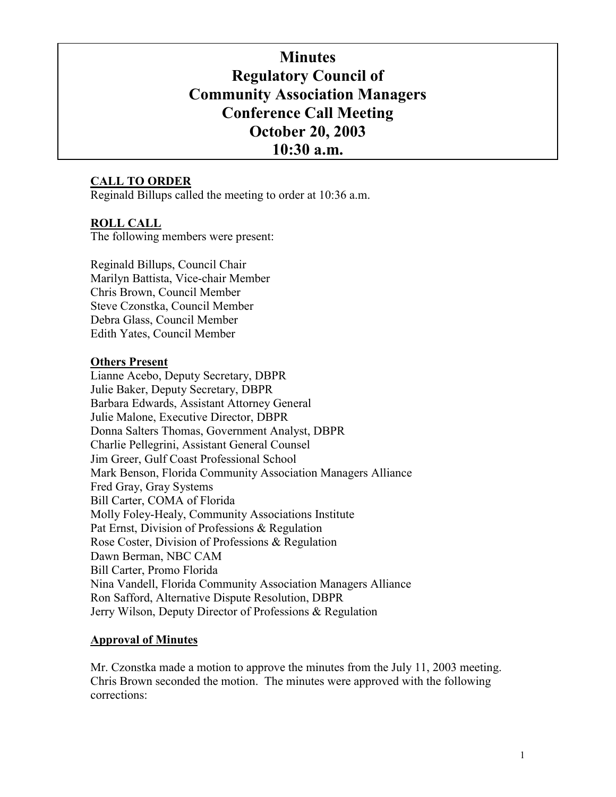# **Minutes Regulatory Council of Community Association Managers Conference Call Meeting October 20, 2003 10:30 a.m.**

## **CALL TO ORDER**

Reginald Billups called the meeting to order at 10:36 a.m.

## **ROLL CALL**

The following members were present:

Reginald Billups, Council Chair Marilyn Battista, Vice-chair Member Chris Brown, Council Member Steve Czonstka, Council Member Debra Glass, Council Member Edith Yates, Council Member

#### **Others Present**

Lianne Acebo, Deputy Secretary, DBPR Julie Baker, Deputy Secretary, DBPR Barbara Edwards, Assistant Attorney General Julie Malone, Executive Director, DBPR Donna Salters Thomas, Government Analyst, DBPR Charlie Pellegrini, Assistant General Counsel Jim Greer, Gulf Coast Professional School Mark Benson, Florida Community Association Managers Alliance Fred Gray, Gray Systems Bill Carter, COMA of Florida Molly Foley-Healy, Community Associations Institute Pat Ernst, Division of Professions & Regulation Rose Coster, Division of Professions & Regulation Dawn Berman, NBC CAM Bill Carter, Promo Florida Nina Vandell, Florida Community Association Managers Alliance Ron Safford, Alternative Dispute Resolution, DBPR Jerry Wilson, Deputy Director of Professions & Regulation

#### **Approval of Minutes**

Mr. Czonstka made a motion to approve the minutes from the July 11, 2003 meeting. Chris Brown seconded the motion. The minutes were approved with the following corrections: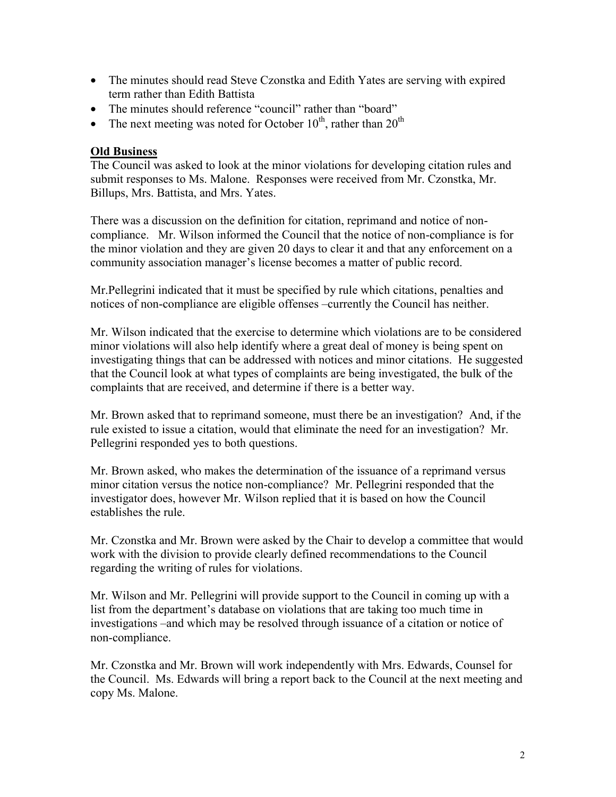- The minutes should read Steve Czonstka and Edith Yates are serving with expired term rather than Edith Battista
- The minutes should reference "council" rather than "board"
- The next meeting was noted for October  $10^{th}$ , rather than  $20^{th}$

#### **Old Business**

The Council was asked to look at the minor violations for developing citation rules and submit responses to Ms. Malone. Responses were received from Mr. Czonstka, Mr. Billups, Mrs. Battista, and Mrs. Yates.

There was a discussion on the definition for citation, reprimand and notice of noncompliance. Mr. Wilson informed the Council that the notice of non-compliance is for the minor violation and they are given 20 days to clear it and that any enforcement on a community association manager's license becomes a matter of public record.

Mr.Pellegrini indicated that it must be specified by rule which citations, penalties and notices of non-compliance are eligible offenses –currently the Council has neither.

Mr. Wilson indicated that the exercise to determine which violations are to be considered minor violations will also help identify where a great deal of money is being spent on investigating things that can be addressed with notices and minor citations. He suggested that the Council look at what types of complaints are being investigated, the bulk of the complaints that are received, and determine if there is a better way.

Mr. Brown asked that to reprimand someone, must there be an investigation? And, if the rule existed to issue a citation, would that eliminate the need for an investigation? Mr. Pellegrini responded yes to both questions.

Mr. Brown asked, who makes the determination of the issuance of a reprimand versus minor citation versus the notice non-compliance? Mr. Pellegrini responded that the investigator does, however Mr. Wilson replied that it is based on how the Council establishes the rule.

Mr. Czonstka and Mr. Brown were asked by the Chair to develop a committee that would work with the division to provide clearly defined recommendations to the Council regarding the writing of rules for violations.

Mr. Wilson and Mr. Pellegrini will provide support to the Council in coming up with a list from the department's database on violations that are taking too much time in investigations –and which may be resolved through issuance of a citation or notice of non-compliance.

Mr. Czonstka and Mr. Brown will work independently with Mrs. Edwards, Counsel for the Council. Ms. Edwards will bring a report back to the Council at the next meeting and copy Ms. Malone.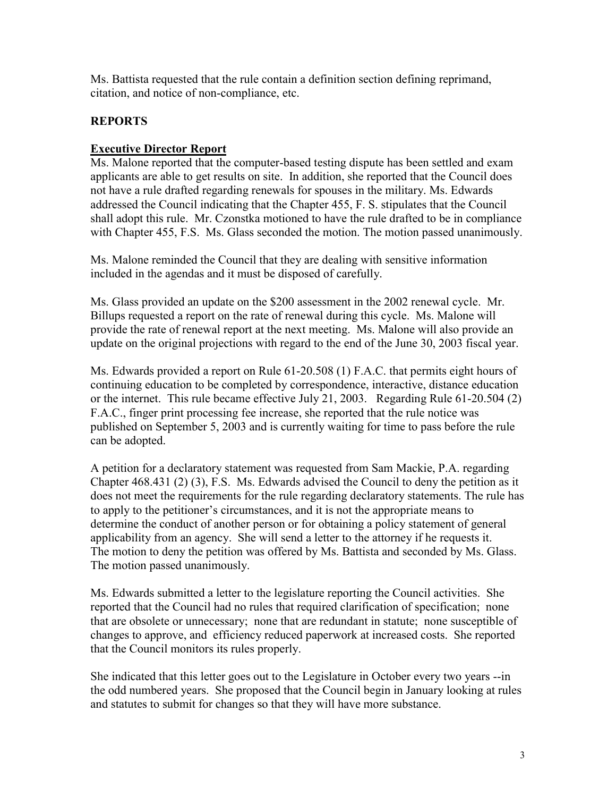Ms. Battista requested that the rule contain a definition section defining reprimand, citation, and notice of non-compliance, etc.

## **REPORTS**

## **Executive Director Report**

Ms. Malone reported that the computer-based testing dispute has been settled and exam applicants are able to get results on site. In addition, she reported that the Council does not have a rule drafted regarding renewals for spouses in the military. Ms. Edwards addressed the Council indicating that the Chapter 455, F. S. stipulates that the Council shall adopt this rule. Mr. Czonstka motioned to have the rule drafted to be in compliance with Chapter 455, F.S. Ms. Glass seconded the motion. The motion passed unanimously.

Ms. Malone reminded the Council that they are dealing with sensitive information included in the agendas and it must be disposed of carefully.

Ms. Glass provided an update on the \$200 assessment in the 2002 renewal cycle. Mr. Billups requested a report on the rate of renewal during this cycle. Ms. Malone will provide the rate of renewal report at the next meeting. Ms. Malone will also provide an update on the original projections with regard to the end of the June 30, 2003 fiscal year.

Ms. Edwards provided a report on Rule 61-20.508 (1) F.A.C. that permits eight hours of continuing education to be completed by correspondence, interactive, distance education or the internet. This rule became effective July 21, 2003. Regarding Rule 61-20.504 (2) F.A.C., finger print processing fee increase, she reported that the rule notice was published on September 5, 2003 and is currently waiting for time to pass before the rule can be adopted.

A petition for a declaratory statement was requested from Sam Mackie, P.A. regarding Chapter 468.431 (2) (3), F.S. Ms. Edwards advised the Council to deny the petition as it does not meet the requirements for the rule regarding declaratory statements. The rule has to apply to the petitioner's circumstances, and it is not the appropriate means to determine the conduct of another person or for obtaining a policy statement of general applicability from an agency. She will send a letter to the attorney if he requests it. The motion to deny the petition was offered by Ms. Battista and seconded by Ms. Glass. The motion passed unanimously.

Ms. Edwards submitted a letter to the legislature reporting the Council activities. She reported that the Council had no rules that required clarification of specification; none that are obsolete or unnecessary; none that are redundant in statute; none susceptible of changes to approve, and efficiency reduced paperwork at increased costs. She reported that the Council monitors its rules properly.

She indicated that this letter goes out to the Legislature in October every two years --in the odd numbered years. She proposed that the Council begin in January looking at rules and statutes to submit for changes so that they will have more substance.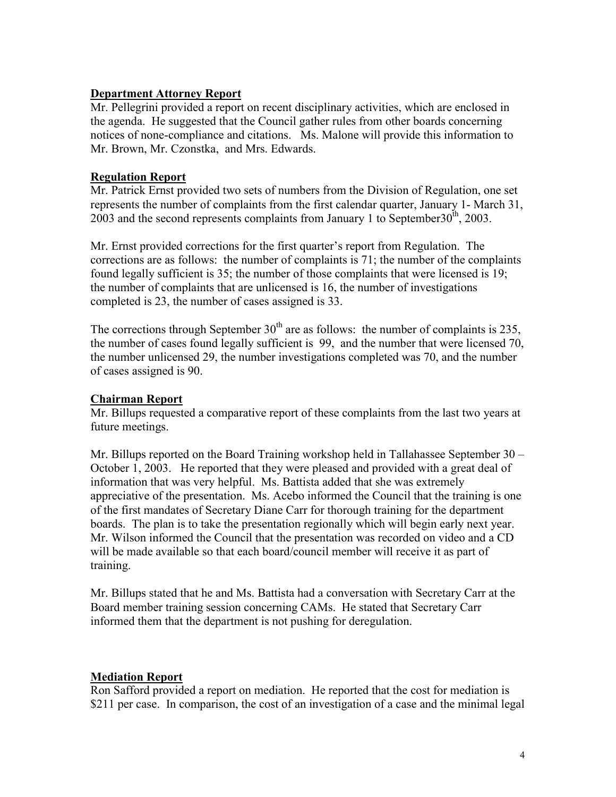#### **Department Attorney Report**

Mr. Pellegrini provided a report on recent disciplinary activities, which are enclosed in the agenda. He suggested that the Council gather rules from other boards concerning notices of none-compliance and citations. Ms. Malone will provide this information to Mr. Brown, Mr. Czonstka, and Mrs. Edwards.

#### **Regulation Report**

Mr. Patrick Ernst provided two sets of numbers from the Division of Regulation, one set represents the number of complaints from the first calendar quarter, January 1- March 31, 2003 and the second represents complaints from January 1 to September  $30<sup>th</sup>$ , 2003.

Mr. Ernst provided corrections for the first quarter's report from Regulation. The corrections are as follows: the number of complaints is 71; the number of the complaints found legally sufficient is 35; the number of those complaints that were licensed is 19; the number of complaints that are unlicensed is 16, the number of investigations completed is 23, the number of cases assigned is 33.

The corrections through September  $30<sup>th</sup>$  are as follows: the number of complaints is 235, the number of cases found legally sufficient is 99, and the number that were licensed 70, the number unlicensed 29, the number investigations completed was 70, and the number of cases assigned is 90.

#### **Chairman Report**

Mr. Billups requested a comparative report of these complaints from the last two years at future meetings.

Mr. Billups reported on the Board Training workshop held in Tallahassee September 30 – October 1, 2003. He reported that they were pleased and provided with a great deal of information that was very helpful. Ms. Battista added that she was extremely appreciative of the presentation. Ms. Acebo informed the Council that the training is one of the first mandates of Secretary Diane Carr for thorough training for the department boards. The plan is to take the presentation regionally which will begin early next year. Mr. Wilson informed the Council that the presentation was recorded on video and a CD will be made available so that each board/council member will receive it as part of training.

Mr. Billups stated that he and Ms. Battista had a conversation with Secretary Carr at the Board member training session concerning CAMs. He stated that Secretary Carr informed them that the department is not pushing for deregulation.

## **Mediation Report**

Ron Safford provided a report on mediation. He reported that the cost for mediation is \$211 per case. In comparison, the cost of an investigation of a case and the minimal legal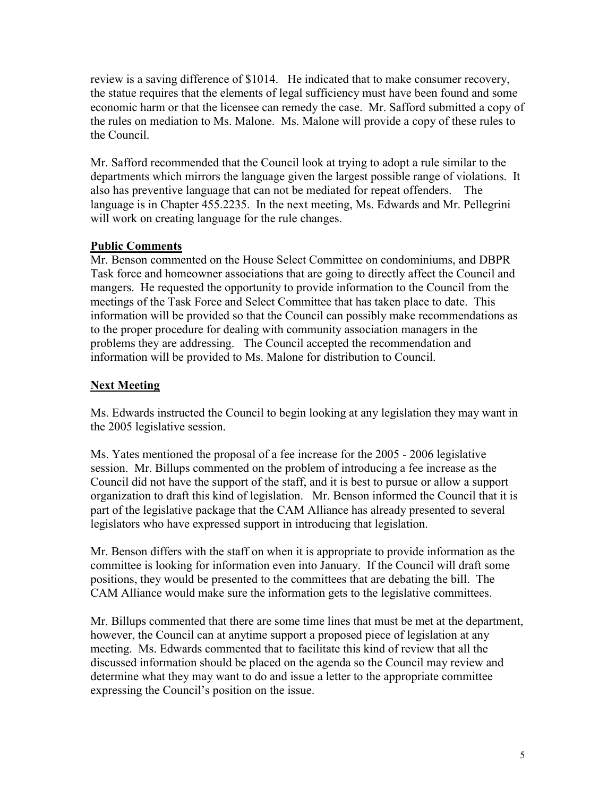review is a saving difference of \$1014. He indicated that to make consumer recovery, the statue requires that the elements of legal sufficiency must have been found and some economic harm or that the licensee can remedy the case. Mr. Safford submitted a copy of the rules on mediation to Ms. Malone. Ms. Malone will provide a copy of these rules to the Council.

Mr. Safford recommended that the Council look at trying to adopt a rule similar to the departments which mirrors the language given the largest possible range of violations. It also has preventive language that can not be mediated for repeat offenders. The language is in Chapter 455.2235. In the next meeting, Ms. Edwards and Mr. Pellegrini will work on creating language for the rule changes.

## **Public Comments**

Mr. Benson commented on the House Select Committee on condominiums, and DBPR Task force and homeowner associations that are going to directly affect the Council and mangers. He requested the opportunity to provide information to the Council from the meetings of the Task Force and Select Committee that has taken place to date. This information will be provided so that the Council can possibly make recommendations as to the proper procedure for dealing with community association managers in the problems they are addressing. The Council accepted the recommendation and information will be provided to Ms. Malone for distribution to Council.

## **Next Meeting**

Ms. Edwards instructed the Council to begin looking at any legislation they may want in the 2005 legislative session.

Ms. Yates mentioned the proposal of a fee increase for the 2005 - 2006 legislative session. Mr. Billups commented on the problem of introducing a fee increase as the Council did not have the support of the staff, and it is best to pursue or allow a support organization to draft this kind of legislation. Mr. Benson informed the Council that it is part of the legislative package that the CAM Alliance has already presented to several legislators who have expressed support in introducing that legislation.

Mr. Benson differs with the staff on when it is appropriate to provide information as the committee is looking for information even into January. If the Council will draft some positions, they would be presented to the committees that are debating the bill. The CAM Alliance would make sure the information gets to the legislative committees.

Mr. Billups commented that there are some time lines that must be met at the department, however, the Council can at anytime support a proposed piece of legislation at any meeting. Ms. Edwards commented that to facilitate this kind of review that all the discussed information should be placed on the agenda so the Council may review and determine what they may want to do and issue a letter to the appropriate committee expressing the Council's position on the issue.